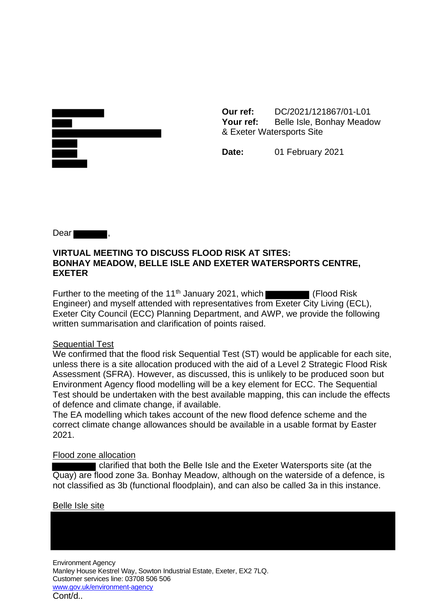

**Our ref:** DC/2021/121867/01-L01 **Your ref:** Belle Isle, Bonhay Meadow & Exeter Watersports Site

**Date:** 01 February 2021

Dear **The Dear** 

## **VIRTUAL MEETING TO DISCUSS FLOOD RISK AT SITES: BONHAY MEADOW, BELLE ISLE AND EXETER WATERSPORTS CENTRE, EXETER**

Further to the meeting of the 11<sup>th</sup> January 2021, which (Flood Risk) Engineer) and myself attended with representatives from Exeter City Living (ECL), Exeter City Council (ECC) Planning Department, and AWP, we provide the following written summarisation and clarification of points raised.

### Sequential Test

We confirmed that the flood risk Sequential Test (ST) would be applicable for each site, unless there is a site allocation produced with the aid of a Level 2 Strategic Flood Risk Assessment (SFRA). However, as discussed, this is unlikely to be produced soon but Environment Agency flood modelling will be a key element for ECC. The Sequential Test should be undertaken with the best available mapping, this can include the effects of defence and climate change, if available.

The EA modelling which takes account of the new flood defence scheme and the correct climate change allowances should be available in a usable format by Easter 2021.

#### Flood zone allocation

 clarified that both the Belle Isle and the Exeter Watersports site (at the Quay) are flood zone 3a. Bonhay Meadow, although on the waterside of a defence, is not classified as 3b (functional floodplain), and can also be called 3a in this instance.

#### Belle Isle site

Environment Agency Manley House Kestrel Way, Sowton Industrial Estate, Exeter, EX2 7LQ. Customer services line: 03708 506 506 [www.gov.uk/environment-agency](http://www.gov.uk/environment-agency) Cont/d..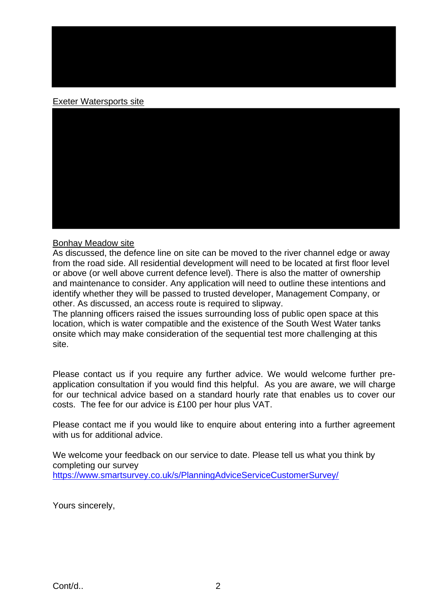

#### Exeter Watersports site



#### **Bonhay Meadow site**

As discussed, the defence line on site can be moved to the river channel edge or away from the road side. All residential development will need to be located at first floor level or above (or well above current defence level). There is also the matter of ownership and maintenance to consider. Any application will need to outline these intentions and identify whether they will be passed to trusted developer, Management Company, or other. As discussed, an access route is required to slipway.

The planning officers raised the issues surrounding loss of public open space at this location, which is water compatible and the existence of the South West Water tanks onsite which may make consideration of the sequential test more challenging at this site.

Please contact us if you require any further advice. We would welcome further preapplication consultation if you would find this helpful. As you are aware, we will charge for our technical advice based on a standard hourly rate that enables us to cover our costs. The fee for our advice is £100 per hour plus VAT.

Please contact me if you would like to enquire about entering into a further agreement with us for additional advice.

We welcome your feedback on our service to date. Please tell us what you think by completing our survey <https://www.smartsurvey.co.uk/s/PlanningAdviceServiceCustomerSurvey/>

Yours sincerely,